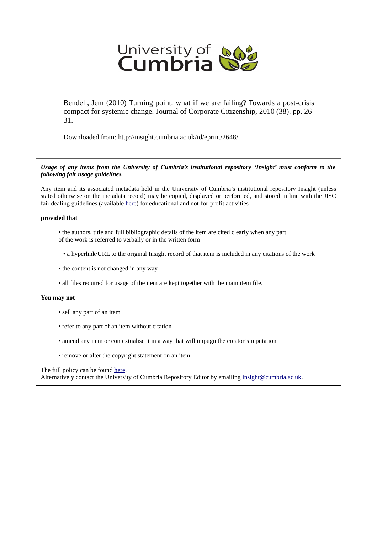

Bendell, Jem (2010) Turning point: what if we are failing? Towards a post-crisis compact for systemic change. Journal of Corporate Citizenship, 2010 (38). pp. 26- 31.

Downloaded from: http://insight.cumbria.ac.uk/id/eprint/2648/

*Usage of any items from the University of Cumbria's institutional repository 'Insight' must conform to the following fair usage guidelines.*

Any item and its associated metadata held in the University of Cumbria's institutional repository Insight (unless stated otherwise on the metadata record) may be copied, displayed or performed, and stored in line with the JISC fair dealing guidelines (available [here\)](http://www.ukoln.ac.uk/services/elib/papers/pa/fair/) for educational and not-for-profit activities

## **provided that**

- the authors, title and full bibliographic details of the item are cited clearly when any part of the work is referred to verbally or in the written form
	- a hyperlink/URL to the original Insight record of that item is included in any citations of the work
- the content is not changed in any way
- all files required for usage of the item are kept together with the main item file.

## **You may not**

- sell any part of an item
- refer to any part of an item without citation
- amend any item or contextualise it in a way that will impugn the creator's reputation
- remove or alter the copyright statement on an item.

#### The full policy can be found [here.](http://insight.cumbria.ac.uk/legal.html#section5)

Alternatively contact the University of Cumbria Repository Editor by emailing [insight@cumbria.ac.uk.](mailto:insight@cumbria.ac.uk)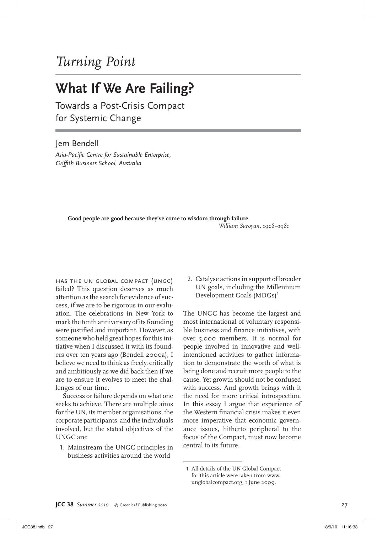# **What If We Are Failing?**

Towards a Post-Crisis Compact for Systemic Change

Jem Bendell

*Asia-Pacific Centre for Sustainable Enterprise, Griffith Business School, Australia* 

> **Good people are good because they've come to wisdom through failure** *William Saroyan, 1908–1981*

has the un global compact (ungc) failed? This question deserves as much attention as the search for evidence of success, if we are to be rigorous in our evaluation. The celebrations in New York to mark the tenth anniversary of its founding were justified and important. However, as someone who held great hopes for this initiative when I discussed it with its founders over ten years ago (Bendell 2000a), I believe we need to think as freely, critically and ambitiously as we did back then if we are to ensure it evolves to meet the challenges of our time.

Success or failure depends on what one seeks to achieve. There are multiple aims for the UN, its member organisations, the corporate participants, and the individuals involved, but the stated objectives of the UNGC are:

1. Mainstream the UNGC principles in business activities around the world

2. Catalyse actions in support of broader UN goals, including the Millennium Development Goals (MDGs)<sup>1</sup>

The UNGC has become the largest and most international of voluntary responsible business and finance initiatives, with over 5,000 members. It is normal for people involved in innovative and wellintentioned activities to gather information to demonstrate the worth of what is being done and recruit more people to the cause. Yet growth should not be confused with success. And growth brings with it the need for more critical introspection. In this essay I argue that experience of the Western financial crisis makes it even more imperative that economic governance issues, hitherto peripheral to the focus of the Compact, must now become central to its future.

<sup>1</sup> All details of the UN Global Compact for this article were taken from www. unglobalcompact.org, 1 June 2009.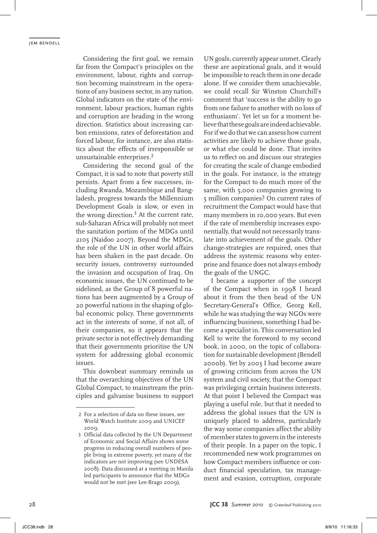Considering the first goal, we remain far from the Compact's principles on the environment, labour, rights and corruption becoming mainstream in the operations of any business sector, in any nation. Global indicators on the state of the environment, labour practices, human rights and corruption are heading in the wrong direction. Statistics about increasing carbon emissions, rates of deforestation and forced labour, for instance, are also statistics about the effects of irresponsible or unsustainable enterprises.<sup>2</sup>

Considering the second goal of the Compact, it is sad to note that poverty still persists. Apart from a few successes, including Rwanda, Mozambique and Bangladesh, progress towards the Millennium Development Goals is slow, or even in the wrong direction.<sup>3</sup> At the current rate, sub-Saharan Africa will probably not meet the sanitation portion of the MDGs until 2105 (Naidoo 2007). Beyond the MDGs, the role of the UN in other world affairs has been shaken in the past decade. On security issues, controversy surrounded the invasion and occupation of Iraq. On economic issues, the UN continued to be sidelined, as the Group of 8 powerful nations has been augmented by a Group of 20 powerful nations in the shaping of global economic policy. These governments act in the interests of some, if not all, of their companies, so it appears that the private sector is not effectively demanding that their governments prioritise the UN system for addressing global economic issues.

This downbeat summary reminds us that the overarching objectives of the UN Global Compact, to mainstream the principles and galvanise business to support

UN goals, currently appear unmet. Clearly these are aspirational goals, and it would be impossible to reach them in one decade alone. If we consider them unachievable, we could recall Sir Winston Churchill's comment that 'success is the ability to go from one failure to another with no loss of enthusiasm'. Yet let us for a moment believe that these goals are indeed achievable. For if we do that we can assess how current activities are likely to achieve those goals, or what else could be done. That invites us to reflect on and discuss our strategies for creating the scale of change embodied in the goals. For instance, is the strategy for the Compact to do much more of the same, with 5,000 companies growing to 5 million companies? On current rates of recruitment the Compact would have that many members in 10,000 years. But even if the rate of membership increases exponentially, that would not necessarily translate into achievement of the goals. Other change-strategies are required, ones that address the systemic reasons why enterprise and finance does not always embody the goals of the UNGC.

I became a supporter of the concept of the Compact when in 1998 I heard about it from the then head of the UN Secretary-General's Office, Georg Kell, while he was studying the way NGOs were influencing business, something I had become a specialist in. This conversation led Kell to write the foreword to my second book, in 2000, on the topic of collaboration for sustainable development (Bendell 2000b). Yet by 2003 I had become aware of growing criticism from across the UN system and civil society, that the Compact was privileging certain business interests. At that point I believed the Compact was playing a useful role, but that it needed to address the global issues that the UN is uniquely placed to address, particularly the way some companies affect the ability of member states to govern in the interests of their people. In a paper on the topic, I recommended new work programmes on how Compact members influence or conduct financial speculation, tax management and evasion, corruption, corporate

<sup>2</sup> For a selection of data on these issues, see World Watch Institute 2009 and UNICEF 2009.

<sup>3</sup> Official data collected by the UN Department of Economic and Social Affairs shows some progress in reducing overall numbers of people living in extreme poverty, yet many of the indicators are not improving (see UNDESA 2008). Data discussed at a meeting in Manila led participants to announce that the MDGs would not be met (see Lee-Brago 2009).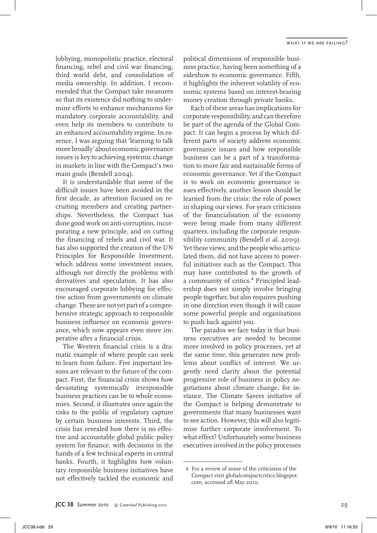lobbying, monopolistic practice, electoral financing, rebel and civil war financing, third world debt, and consolidation of media ownership. In addition, I recommended that the Compact take measures so that its existence did nothing to undermine efforts to enhance mechanisms for mandatory corporate accountability, and even help its members to contribute to an enhanced accountability regime. In essence, I was arguing that 'learning to talk more broadly' about economic governance issues is key to achieving systemic change in markets in line with the Compact's two main goals (Bendell 2004).

It is understandable that some of the difficult issues have been avoided in the first decade, as attention focused on recruiting members and creating partnerships. Nevertheless, the Compact has done good work on anti-corruption, incorporating a new principle, and on cutting the financing of rebels and civil war. It has also supported the creation of the UN Principles for Responsible Investment, which address some investment issues, although not directly the problems with derivatives and speculation. It has also encouraged corporate lobbying for effective action from governments on climate change. These are not yet part of a comprehensive strategic approach to responsible business influence on economic governance, which now appears even more imperative after a financial crisis.

The Western financial crisis is a dramatic example of where people can seek to learn from failure. Five important lessons are relevant to the future of the compact. First, the financial crisis shows how devastating systemically irresponsible business practices can be to whole economies. Second, it illustrates once again the risks to the public of regulatory capture by certain business interests. Third, the crisis has revealed how there is no effective and accountable global public policy system for finance, with decisions in the hands of a few technical experts in central banks. Fourth, it highlights how voluntary responsible business initiatives have not effectively tackled the economic and political dimensions of responsible business practice, having been something of a sideshow to economic governance. Fifth, it highlights the inherent volatility of economic systems based on interest-bearing money creation through private banks.

Each of these areas has implications for corporate responsibility, and can therefore be part of the agenda of the Global Compact. It can begin a process by which different parts of society address economic governance issues and how responsible business can be a part of a transformation to more fair and sustainable forms of economic governance. Yet if the Compact is to work on economic governance issues effectively, another lesson should be learned from the crisis: the role of power in shaping our views. For years criticisms of the financialisation of the economy were being made from many different quarters, including the corporate responsibility community (Bendell *et al*. 2009). Yet these views, and the people who articulated them, did not have access to powerful initiatives such as the Compact. This may have contributed to the growth of a community of critics.<sup>4</sup> Principled leadership does not simply involve bringing people together, but also requires pushing in one direction even though it will cause some powerful people and organisations to push back against you.

The paradox we face today is that business executives are needed to become more involved in policy processes, yet at the same time, this generates new problems about conflict of interest. We urgently need clarity about the potential progressive role of business in policy negotiations about climate change, for instance. The Climate Savers initiative of the Compact is helping demonstrate to governments that many businesses want to see action. However, this will also legitimise further corporate involvement. To what effect? Unfortunately some business executives involved in the policy processes

<sup>4</sup> For a review of some of the criticisms of the Compact visit globalcompactcritics.blogspot. com, accessed 28 May 2010.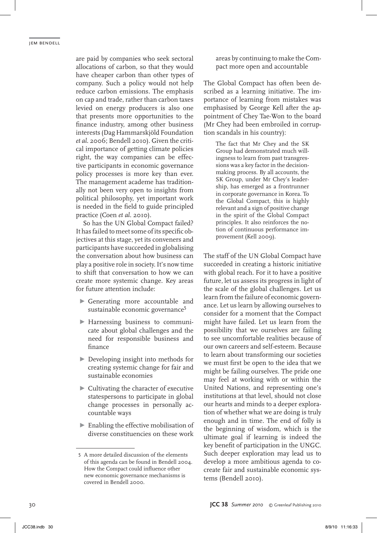are paid by companies who seek sectoral allocations of carbon, so that they would have cheaper carbon than other types of company. Such a policy would not help reduce carbon emissions. The emphasis on cap and trade, rather than carbon taxes levied on energy producers is also one that presents more opportunities to the finance industry, among other business interests (Dag Hammarskjöld Foundation *et al*. 2006; Bendell 2010). Given the critical importance of getting climate policies right, the way companies can be effective participants in economic governance policy processes is more key than ever. The management academe has traditionally not been very open to insights from political philosophy, yet important work is needed in the field to guide principled practice (Coen *et al*. 2010).

So has the UN Global Compact failed? It has failed to meet some of its specific objectives at this stage, yet its conveners and participants have succeeded in globalising the conversation about how business can play a positive role in society. It's now time to shift that conversation to how we can create more systemic change. Key areas for future attention include:

- $\blacktriangleright$  Generating more accountable and sustainable economic governance<sup>5</sup>
- $\blacktriangleright$  Harnessing business to communicate about global challenges and the need for responsible business and finance
- $\blacktriangleright$  Developing insight into methods for creating systemic change for fair and sustainable economies
- $\blacktriangleright$  Cultivating the character of executive statespersons to participate in global change processes in personally accountable ways
- $\blacktriangleright$  Enabling the effective mobilisation of diverse constituencies on these work

areas by continuing to make the Compact more open and accountable

The Global Compact has often been described as a learning initiative. The importance of learning from mistakes was emphasised by George Kell after the appointment of Chey Tae-Won to the board (Mr Chey had been embroiled in corruption scandals in his country):

> The fact that Mr Chey and the SK Group had demonstrated much willingness to learn from past transgressions was a key factor in the decisionmaking process. By all accounts, the SK Group, under Mr Chey's leadership, has emerged as a frontrunner in corporate governance in Korea. To the Global Compact, this is highly relevant and a sign of positive change in the spirit of the Global Compact principles. It also reinforces the notion of continuous performance improvement (Kell 2009).

The staff of the UN Global Compact have succeeded in creating a historic initiative with global reach. For it to have a positive future, let us assess its progress in light of the scale of the global challenges. Let us learn from the failure of economic governance. Let us learn by allowing ourselves to consider for a moment that the Compact might have failed. Let us learn from the possibility that we ourselves are failing to see uncomfortable realities because of our own careers and self-esteem. Because to learn about transforming our societies we must first be open to the idea that we might be failing ourselves. The pride one may feel at working with or within the United Nations, and representing one's institutions at that level, should not close our hearts and minds to a deeper exploration of whether what we are doing is truly enough and in time. The end of folly is the beginning of wisdom, which is the ultimate goal if learning is indeed the key benefit of participation in the UNGC. Such deeper exploration may lead us to develop a more ambitious agenda to cocreate fair and sustainable economic systems (Bendell 2010).

<sup>5</sup> A more detailed discussion of the elements of this agenda can be found in Bendell 2004. How the Compact could influence other new economic governance mechanisms is covered in Bendell 2000.